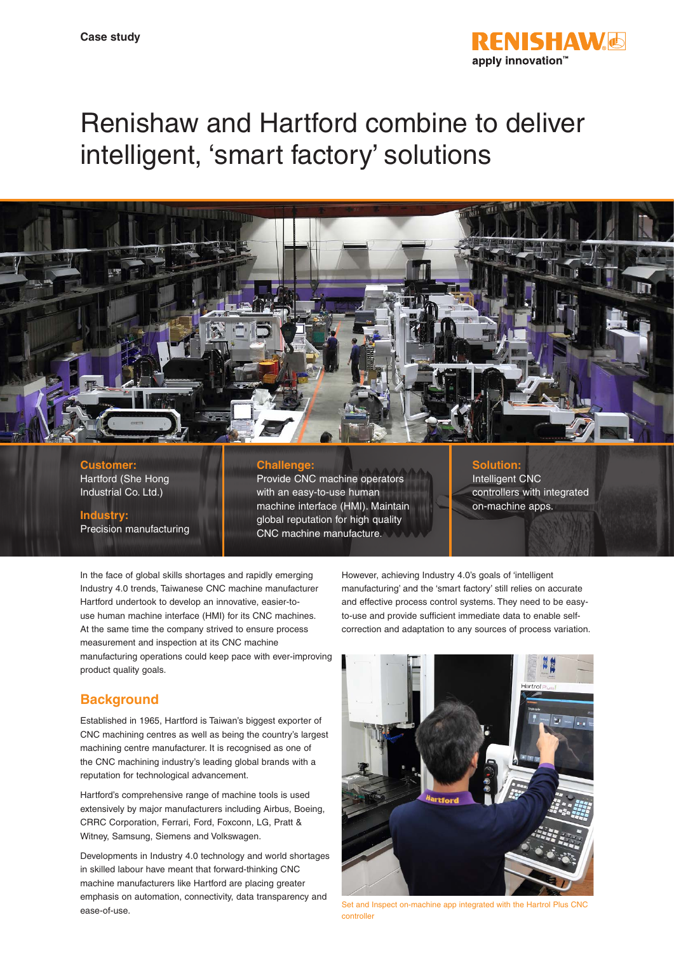

# Renishaw and Hartford combine to deliver intelligent, 'smart factory' solutions



# **Customer:** Hartford (She Hong

Industrial Co. Ltd.)

## **Industry:**

Precision manufacturing

#### **Challenge:**

Provide CNC machine operators with an easy-to-use human machine interface (HMI). Maintain global reputation for high quality CNC machine manufacture.

### **Solution:**

Intelligent CNC controllers with integrated on-machine apps.

In the face of global skills shortages and rapidly emerging Industry 4.0 trends, Taiwanese CNC machine manufacturer Hartford undertook to develop an innovative, easier-touse human machine interface (HMI) for its CNC machines. At the same time the company strived to ensure process measurement and inspection at its CNC machine manufacturing operations could keep pace with ever-improving product quality goals.

# **Background**

Established in 1965, Hartford is Taiwan's biggest exporter of CNC machining centres as well as being the country's largest machining centre manufacturer. It is recognised as one of the CNC machining industry's leading global brands with a reputation for technological advancement.

Hartford's comprehensive range of machine tools is used extensively by major manufacturers including Airbus, Boeing, CRRC Corporation, Ferrari, Ford, Foxconn, LG, Pratt & Witney, Samsung, Siemens and Volkswagen.

Developments in Industry 4.0 technology and world shortages in skilled labour have meant that forward-thinking CNC machine manufacturers like Hartford are placing greater emphasis on automation, connectivity, data transparency and ease-of-use.

However, achieving Industry 4.0's goals of 'intelligent manufacturing' and the 'smart factory' still relies on accurate and effective process control systems. They need to be easyto-use and provide sufficient immediate data to enable selfcorrection and adaptation to any sources of process variation.



Set and Inspect on-machine app integrated with the Hartrol Plus CNC controller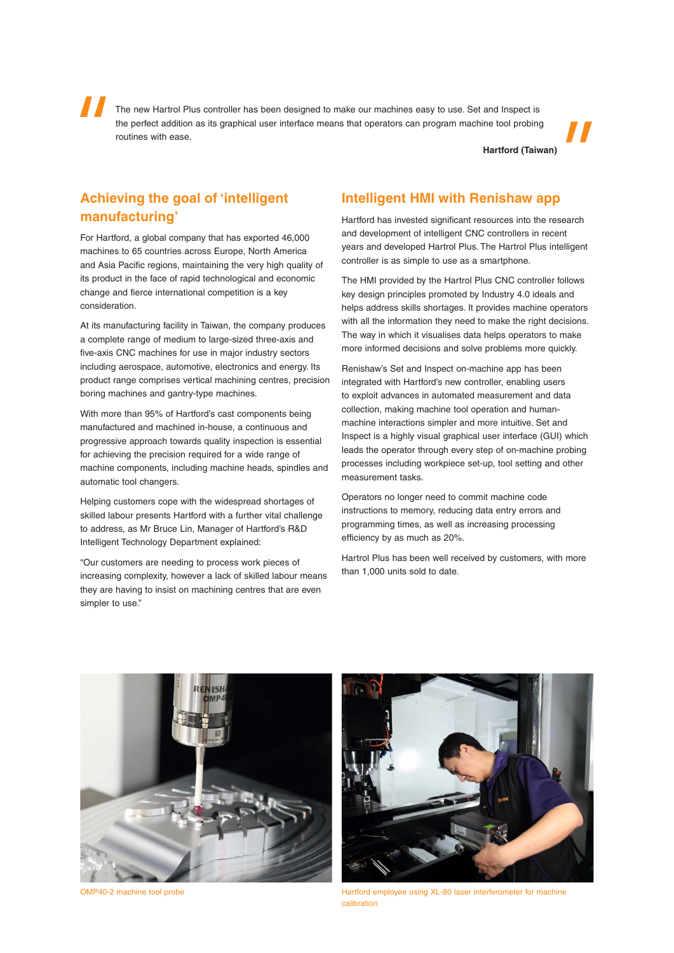The new Hartrol Plus controller has been designed to make our machines easy to use. Set and Inspect is the perfect addition as its graphical user interface means that operators can program machine tool probing routines with ease.

**Hartford (Taiwan)**

## **Achieving the goal of 'intelligent manufacturing'**

For Hartford, a global company that has exported 46,000 machines to 65 countries across Europe, North America and Asia Pacific regions, maintaining the very high quality of its product in the face of rapid technological and economic change and fierce international competition is a key consideration.

At its manufacturing facility in Taiwan, the company produces a complete range of medium to large-sized three-axis and five-axis CNC machines for use in major industry sectors including aerospace, automotive, electronics and energy. Its product range comprises vertical machining centres, precision boring machines and gantry-type machines.

With more than 95% of Hartford's cast components being manufactured and machined in-house, a continuous and progressive approach towards quality inspection is essential for achieving the precision required for a wide range of machine components, including machine heads, spindles and automatic tool changers.

Helping customers cope with the widespread shortages of skilled labour presents Hartford with a further vital challenge to address, as Mr Bruce Lin, Manager of Hartford's R&D Intelligent Technology Department explained:

"Our customers are needing to process work pieces of increasing complexity, however a lack of skilled labour means they are having to insist on machining centres that are even simpler to use."

## **Intelligent HMI with Renishaw app**

Hartford has invested significant resources into the research and development of intelligent CNC controllers in recent years and developed Hartrol Plus. The Hartrol Plus intelligent controller is as simple to use as a smartphone.

The HMI provided by the Hartrol Plus CNC controller follows key design principles promoted by Industry 4.0 ideals and helps address skills shortages. It provides machine operators with all the information they need to make the right decisions. The way in which it visualises data helps operators to make more informed decisions and solve problems more quickly.

Renishaw's Set and Inspect on-machine app has been integrated with Hartford's new controller, enabling users to exploit advances in automated measurement and data collection, making machine tool operation and humanmachine interactions simpler and more intuitive. Set and Inspect is a highly visual graphical user interface (GUI) which leads the operator through every step of on-machine probing processes including workpiece set-up, tool setting and other measurement tasks.

Operators no longer need to commit machine code instructions to memory, reducing data entry errors and programming times, as well as increasing processing efficiency by as much as 20%.

Hartrol Plus has been well received by customers, with more than 1,000 units sold to date.



OMP40-2 machine tool probe



Hartford employee using XL-80 laser interferometer for machine calibration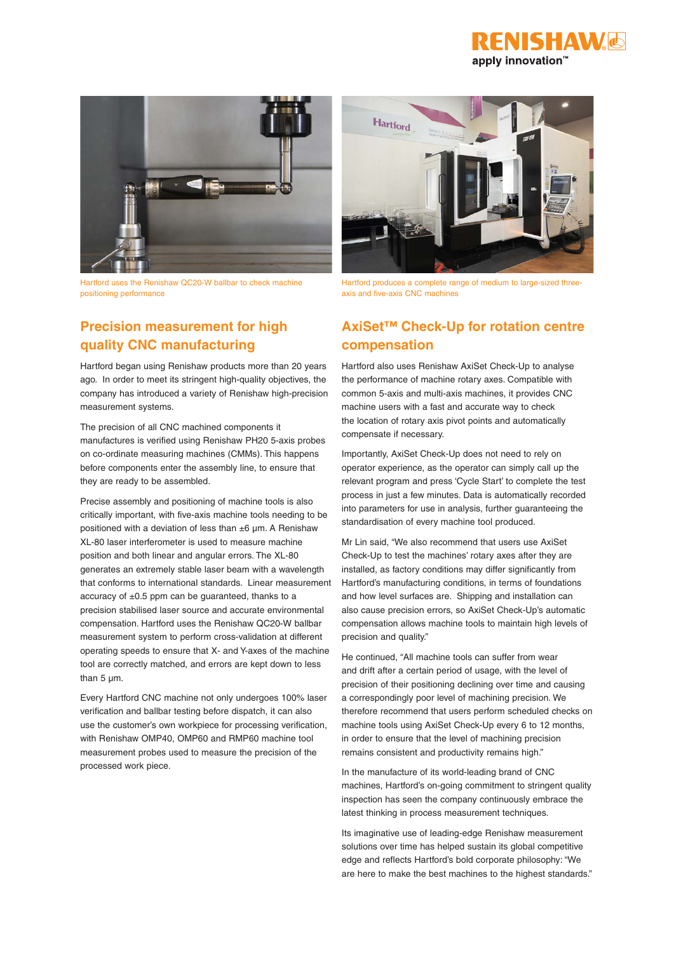



Hartford uses the Renishaw QC20-W ballbar to check machine positioning performance

# **Precision measurement for high quality CNC manufacturing**

Hartford began using Renishaw products more than 20 years ago. In order to meet its stringent high-quality objectives, the company has introduced a variety of Renishaw high-precision measurement systems.

The precision of all CNC machined components it manufactures is verified using Renishaw PH20 5-axis probes on co-ordinate measuring machines (CMMs). This happens before components enter the assembly line, to ensure that they are ready to be assembled.

Precise assembly and positioning of machine tools is also critically important, with five-axis machine tools needing to be positioned with a deviation of less than ±6 µm. A Renishaw XL-80 laser interferometer is used to measure machine position and both linear and angular errors. The XL-80 generates an extremely stable laser beam with a wavelength that conforms to international standards. Linear measurement accuracy of  $\pm 0.5$  ppm can be guaranteed, thanks to a precision stabilised laser source and accurate environmental compensation. Hartford uses the Renishaw QC20-W ballbar measurement system to perform cross-validation at different operating speeds to ensure that X- and Y-axes of the machine tool are correctly matched, and errors are kept down to less than 5  $\mu$ m.

Every Hartford CNC machine not only undergoes 100% laser verification and ballbar testing before dispatch, it can also use the customer's own workpiece for processing verification, with Renishaw OMP40, OMP60 and RMP60 machine tool measurement probes used to measure the precision of the processed work piece.



Hartford produces a complete range of medium to large-sized threeaxis and five-axis CNC machines

# **AxiSet™ Check-Up for rotation centre compensation**

Hartford also uses Renishaw AxiSet Check-Up to analyse the performance of machine rotary axes. Compatible with common 5-axis and multi-axis machines, it provides CNC machine users with a fast and accurate way to check the location of rotary axis pivot points and automatically compensate if necessary.

Importantly, AxiSet Check-Up does not need to rely on operator experience, as the operator can simply call up the relevant program and press 'Cycle Start' to complete the test process in just a few minutes. Data is automatically recorded into parameters for use in analysis, further guaranteeing the standardisation of every machine tool produced.

Mr Lin said, "We also recommend that users use AxiSet Check-Up to test the machines' rotary axes after they are installed, as factory conditions may differ significantly from Hartford's manufacturing conditions, in terms of foundations and how level surfaces are. Shipping and installation can also cause precision errors, so AxiSet Check-Up's automatic compensation allows machine tools to maintain high levels of precision and quality."

He continued, "All machine tools can suffer from wear and drift after a certain period of usage, with the level of precision of their positioning declining over time and causing a correspondingly poor level of machining precision. We therefore recommend that users perform scheduled checks on machine tools using AxiSet Check-Up every 6 to 12 months, in order to ensure that the level of machining precision remains consistent and productivity remains high."

In the manufacture of its world-leading brand of CNC machines, Hartford's on-going commitment to stringent quality inspection has seen the company continuously embrace the latest thinking in process measurement techniques.

Its imaginative use of leading-edge Renishaw measurement solutions over time has helped sustain its global competitive edge and reflects Hartford's bold corporate philosophy: "We are here to make the best machines to the highest standards."